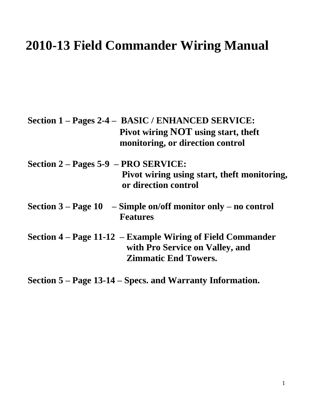# **2010-13 Field Commander Wiring Manual**

|                                      | Section 1 – Pages 2-4 – BASIC / ENHANCED SERVICE:                                  |  |
|--------------------------------------|------------------------------------------------------------------------------------|--|
|                                      | Pivot wiring NOT using start, theft                                                |  |
|                                      | monitoring, or direction control                                                   |  |
| Section 2 – Pages 5-9 – PRO SERVICE: |                                                                                    |  |
|                                      | Pivot wiring using start, theft monitoring,<br>or direction control                |  |
|                                      | Section $3 - Page 10 - Simple on/off monitor only - no control$<br><b>Features</b> |  |
|                                      | Section $4$ – Page 11-12 – Example Wiring of Field Commander                       |  |
|                                      | with Pro Service on Valley, and                                                    |  |
|                                      | <b>Zimmatic End Towers.</b>                                                        |  |

**Section 5 – Page 13-14 – Specs. and Warranty Information.**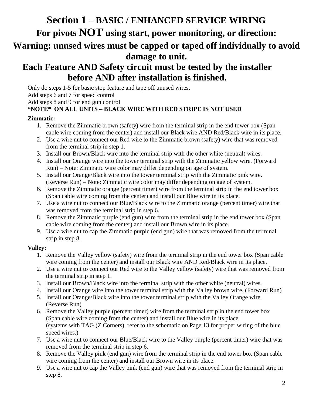# **Section 1 – BASIC / ENHANCED SERVICE WIRING For pivots NOT using start, power monitoring, or direction: Warning: unused wires must be capped or taped off individually to avoid damage to unit.**

# **Each Feature AND Safety circuit must be tested by the installer before AND after installation is finished.**

Only do steps 1-5 for basic stop feature and tape off unused wires.

Add steps 6 and 7 for speed control

Add steps 8 and 9 for end gun control

### **\*NOTE\* ON ALL UNITS – BLACK WIRE WITH RED STRIPE IS NOT USED**

#### **Zimmatic:**

- 1. Remove the Zimmatic brown (safety) wire from the terminal strip in the end tower box (Span cable wire coming from the center) and install our Black wire AND Red/Black wire in its place.
- 2. Use a wire nut to connect our Red wire to the Zimmatic brown (safety) wire that was removed from the terminal strip in step 1.
- 3. Install our Brown/Black wire into the terminal strip with the other white (neutral) wires.
- 4. Install our Orange wire into the tower terminal strip with the Zimmatic yellow wire. (Forward Run) – Note: Zimmatic wire color may differ depending on age of system.
- 5. Install our Orange/Black wire into the tower terminal strip with the Zimmatic pink wire. (Reverse Run) – Note: Zimmatic wire color may differ depending on age of system.
- 6. Remove the Zimmatic orange (percent timer) wire from the terminal strip in the end tower box (Span cable wire coming from the center) and install our Blue wire in its place.
- 7. Use a wire nut to connect our Blue/Black wire to the Zimmatic orange (percent timer) wire that was removed from the terminal strip in step 6.
- 8. Remove the Zimmatic purple (end gun) wire from the terminal strip in the end tower box (Span cable wire coming from the center) and install our Brown wire in its place.
- 9. Use a wire nut to cap the Zimmatic purple (end gun) wire that was removed from the terminal strip in step 8.

### **Valley:**

- 1. Remove the Valley yellow (safety) wire from the terminal strip in the end tower box (Span cable wire coming from the center) and install our Black wire AND Red/Black wire in its place.
- 2. Use a wire nut to connect our Red wire to the Valley yellow (safety) wire that was removed from the terminal strip in step 1.
- 3. Install our Brown/Black wire into the terminal strip with the other white (neutral) wires.
- 4. Install our Orange wire into the tower terminal strip with the Valley brown wire. (Forward Run)
- 5. Install our Orange/Black wire into the tower terminal strip with the Valley Orange wire. (Reverse Run)
- 6. Remove the Valley purple (percent timer) wire from the terminal strip in the end tower box (Span cable wire coming from the center) and install our Blue wire in its place. (systems with TAG (Z Corners), refer to the schematic on Page 13 for proper wiring of the blue speed wires.)
- 7. Use a wire nut to connect our Blue/Black wire to the Valley purple (percent timer) wire that was removed from the terminal strip in step 6.
- 8. Remove the Valley pink (end gun) wire from the terminal strip in the end tower box (Span cable wire coming from the center) and install our Brown wire in its place.
- 9. Use a wire nut to cap the Valley pink (end gun) wire that was removed from the terminal strip in step 8.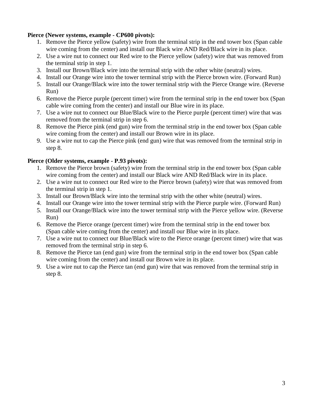#### **Pierce (Newer systems, example - CP600 pivots):**

- 1. Remove the Pierce yellow (safety) wire from the terminal strip in the end tower box (Span cable wire coming from the center) and install our Black wire AND Red/Black wire in its place.
- 2. Use a wire nut to connect our Red wire to the Pierce yellow (safety) wire that was removed from the terminal strip in step 1.
- 3. Install our Brown/Black wire into the terminal strip with the other white (neutral) wires.
- 4. Install our Orange wire into the tower terminal strip with the Pierce brown wire. (Forward Run)
- 5. Install our Orange/Black wire into the tower terminal strip with the Pierce Orange wire. (Reverse Run)
- 6. Remove the Pierce purple (percent timer) wire from the terminal strip in the end tower box (Span cable wire coming from the center) and install our Blue wire in its place.
- 7. Use a wire nut to connect our Blue/Black wire to the Pierce purple (percent timer) wire that was removed from the terminal strip in step 6.
- 8. Remove the Pierce pink (end gun) wire from the terminal strip in the end tower box (Span cable wire coming from the center) and install our Brown wire in its place.
- 9. Use a wire nut to cap the Pierce pink (end gun) wire that was removed from the terminal strip in step 8.

#### **Pierce (Older systems, example - P.93 pivots):**

- 1. Remove the Pierce brown (safety) wire from the terminal strip in the end tower box (Span cable wire coming from the center) and install our Black wire AND Red/Black wire in its place.
- 2. Use a wire nut to connect our Red wire to the Pierce brown (safety) wire that was removed from the terminal strip in step 1.
- 3. Install our Brown/Black wire into the terminal strip with the other white (neutral) wires.
- 4. Install our Orange wire into the tower terminal strip with the Pierce purple wire. (Forward Run)
- 5. Install our Orange/Black wire into the tower terminal strip with the Pierce yellow wire. (Reverse Run)
- 6. Remove the Pierce orange (percent timer) wire from the terminal strip in the end tower box (Span cable wire coming from the center) and install our Blue wire in its place.
- 7. Use a wire nut to connect our Blue/Black wire to the Pierce orange (percent timer) wire that was removed from the terminal strip in step 6.
- 8. Remove the Pierce tan (end gun) wire from the terminal strip in the end tower box (Span cable wire coming from the center) and install our Brown wire in its place.
- 9. Use a wire nut to cap the Pierce tan (end gun) wire that was removed from the terminal strip in step 8.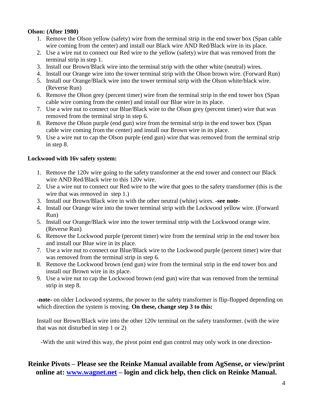#### **Olson: (After 1980)**

- 1. Remove the Olson yellow (safety) wire from the terminal strip in the end tower box (Span cable wire coming from the center) and install our Black wire AND Red/Black wire in its place.
- 2. Use a wire nut to connect our Red wire to the yellow (safety) wire that was removed from the terminal strip in step 1.
- 3. Install our Brown/Black wire into the terminal strip with the other white (neutral) wires.
- 4. Install our Orange wire into the tower terminal strip with the Olson brown wire. (Forward Run)
- 5. Install our Orange/Black wire into the tower terminal strip with the Olson white/black wire. (Reverse Run)
- 6. Remove the Olson grey (percent timer) wire from the terminal strip in the end tower box (Span cable wire coming from the center) and install our Blue wire in its place.
- 7. Use a wire nut to connect our Blue/Black wire to the Olson grey (percent timer) wire that was removed from the terminal strip in step 6.
- 8. Remove the Olson purple (end gun) wire from the terminal strip in the end tower box (Span cable wire coming from the center) and install our Brown wire in its place.
- 9. Use a wire nut to cap the Olson purple (end gun) wire that was removed from the terminal strip in step 8.

#### **Lockwood with 16v safety system:**

- 1. Remove the 120v wire going to the safety transformer at the end tower and connect our Black wire AND Red/Black wire to this 120v wire.
- 2. Use a wire nut to connect our Red wire to the wire that goes to the safety transformer (this is the wire that was removed in step 1.)
- 3. Install our Brown/Black wire in with the other neutral (white) wires. **-see note-**
- 4. Install our Orange wire into the tower terminal strip with the Lockwood yellow wire. (Forward Run)
- 5. Install our Orange/Black wire into the tower terminal strip with the Lockwood orange wire. (Reverse Run)
- 6. Remove the Lockwood purple (percent timer) wire from the terminal strip in the end tower box and install our Blue wire in its place.
- 7. Use a wire nut to connect our Blue/Black wire to the Lockwood purple (percent timer) wire that was removed from the terminal strip in step 6.
- 8. Remove the Lockwood brown (end gun) wire from the terminal strip in the end tower box and install our Brown wire in its place.
- 9. Use a wire nut to cap the Lockwood brown (end gun) wire that was removed from the terminal strip in step 8.

**-note-** on older Lockwood systems, the power to the safety transformer is flip-flopped depending on which direction the system is moving. **On these, change step 3 to this:**

Install our Brown/Black wire into the other 120v terminal on the safety transformer. (with the wire that was not disturbed in step 1 or 2)

-With the unit wired this way, the pivot point end gun control may only work in one direction-

### **Reinke Pivots – Please see the Reinke Manual available from AgSense, or view/print online at: [www.wagnet.net](http://prod.wagnet.net/) – login and click help, then click on Reinke Manual.**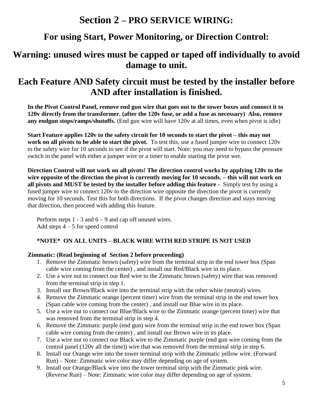# **Section 2 – PRO SERVICE WIRING:**

# **For using Start, Power Monitoring, or Direction Control:**

### **Warning: unused wires must be capped or taped off individually to avoid damage to unit.**

### **Each Feature AND Safety circuit must be tested by the installer before AND after installation is finished.**

**In the Pivot Control Panel, remove end gun wire that goes out to the tower boxes and connect it to 120v directly from the transformer. (after the 120v fuse, or add a fuse as necessary) Also, remove any endgun stops/ramps/shutoffs.** (End gun wire will have 120v at all times, even when pivot is idle)

**Start Feature applies 120v to the safety circuit for 10 seconds to start the pivot – this may not work on all pivots to be able to start the pivot.** To test this, use a fused jumper wire to connect 120v to the safety wire for 10 seconds to see if the pivot will start. Note: you may need to bypass the pressure switch in the panel with either a jumper wire or a timer to enable starting the pivot wet.

**Direction Control will not work on all pivots! The direction control works by applying 120v to the wire opposite of the direction the pivot is currently moving for 10 seconds. – this will not work on all pivots and MUST be tested by the installer before adding this feature -** Simply test by using a fused jumper wire to connect 120v to the direction wire opposite the direction the pivot is currently moving for 10 seconds. Test this for both directions. If the pivot changes direction and stays moving that direction, then proceed with adding this feature.

Perform steps  $1 - 3$  and  $6 - 9$  and cap off unused wires. Add steps  $4 - 5$  for speed control

### **\*NOTE\* ON ALL UNITS – BLACK WIRE WITH RED STRIPE IS NOT USED**

#### **Zimmatic: (Read beginning of Section 2 before proceeding)**

- 1. Remove the Zimmatic brown (safety) wire from the terminal strip in the end tower box (Span cable wire coming from the center) , and install our Red/Black wire in its place.
- 2. Use a wire nut to connect our Red wire to the Zimmatic brown (safety) wire that was removed from the terminal strip in step 1.
- 3. Install our Brown/Black wire into the terminal strip with the other white (neutral) wires.
- 4. Remove the Zimmatic orange (percent timer) wire from the terminal strip in the end tower box (Span cable wire coming from the center) , and install our Blue wire in its place.
- 5. Use a wire nut to connect our Blue/Black wire to the Zimmatic orange (percent timer) wire that was removed from the terminal strip in step 4.
- 6. Remove the Zimmatic purple (end gun) wire from the terminal strip in the end tower box (Span cable wire coming from the center) , and install our Brown wire in its place.
- 7. Use a wire nut to connect our Black wire to the Zimmatic purple (end gun wire coming from the control panel (120v all the time)) wire that was removed from the terminal strip in step 6.
- 8. Install our Orange wire into the tower terminal strip with the Zimmatic yellow wire. (Forward Run) – Note: Zimmatic wire color may differ depending on age of system.
- 9. Install our Orange/Black wire into the tower terminal strip with the Zimmatic pink wire. (Reverse Run) – Note: Zimmatic wire color may differ depending on age of system.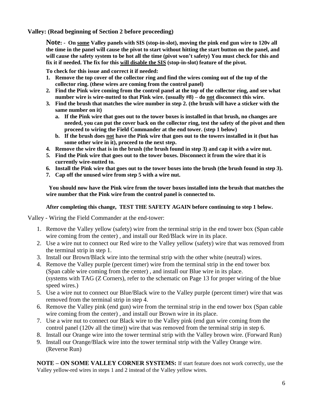**Valley: (Read beginning of Section 2 before proceeding)**

**Note: - On some Valley panels with SIS (stop-in-slot), moving the pink end gun wire to 120v all the time in the panel will cause the pivot to start without hitting the start button on the panel, and will cause the safety system to be hot all the time (pivot won't safety) You must check for this and fix it if needed. The fix for this will disable the SIS (stop-in-slot) feature of the pivot.**

**To check for this issue and correct it if needed:**

- **1. Remove the top cover of the collector ring and find the wires coming out of the top of the collector ring. (these wires are coming from the control panel)**
- **2. Find the Pink wire coming from the control panel at the top of the collector ring, and see what number wire is wire-nutted to that Pink wire. (usually #8) – do not disconnect this wire.**
- **3. Find the brush that matches the wire number in step 2. (the brush will have a sticker with the same number on it)** 
	- **a. If the Pink wire that goes out to the tower boxes is installed in that brush, no changes are needed, you can put the cover back on the collector ring, test the safety of the pivot and then proceed to wiring the Field Commander at the end tower. (step 1 below)**
	- **b. If the brush does not have the Pink wire that goes out to the towers installed in it (but has some other wire in it), proceed to the next step.**
- **4. Remove the wire that is in the brush (the brush found in step 3) and cap it with a wire nut.**
- **5. Find the Pink wire that goes out to the tower boxes. Disconnect it from the wire that it is currently wire-nutted to.**
- **6. Install the Pink wire that goes out to the tower boxes into the brush (the brush found in step 3).**
- **7. Cap off the unused wire from step 5 with a wire nut.**

**You should now have the Pink wire from the tower boxes installed into the brush that matches the wire number that the Pink wire from the control panel is connected to.**

#### **After completing this change, TEST THE SAFETY AGAIN before continuing to step 1 below.**

Valley - Wiring the Field Commander at the end-tower:

- 1. Remove the Valley yellow (safety) wire from the terminal strip in the end tower box (Span cable wire coming from the center) , and install our Red/Black wire in its place.
- 2. Use a wire nut to connect our Red wire to the Valley yellow (safety) wire that was removed from the terminal strip in step 1.
- 3. Install our Brown/Black wire into the terminal strip with the other white (neutral) wires.
- 4. Remove the Valley purple (percent timer) wire from the terminal strip in the end tower box (Span cable wire coming from the center) , and install our Blue wire in its place. (systems with TAG (Z Corners), refer to the schematic on Page 13 for proper wiring of the blue speed wires.)
- 5. Use a wire nut to connect our Blue/Black wire to the Valley purple (percent timer) wire that was removed from the terminal strip in step 4.
- 6. Remove the Valley pink (end gun) wire from the terminal strip in the end tower box (Span cable wire coming from the center) , and install our Brown wire in its place.
- 7. Use a wire nut to connect our Black wire to the Valley pink (end gun wire coming from the control panel (120v all the time)) wire that was removed from the terminal strip in step 6.
- 8. Install our Orange wire into the tower terminal strip with the Valley brown wire. (Forward Run)
- 9. Install our Orange/Black wire into the tower terminal strip with the Valley Orange wire. (Reverse Run)

**NOTE – ON SOME VALLEY CORNER SYSTEMS:** If start feature does not work correctly, use the Valley yellow-red wires in steps 1 and 2 instead of the Valley yellow wires.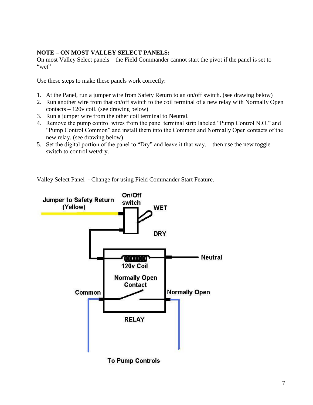#### **NOTE – ON MOST VALLEY SELECT PANELS:**

On most Valley Select panels – the Field Commander cannot start the pivot if the panel is set to "wet"

Use these steps to make these panels work correctly:

- 1. At the Panel, run a jumper wire from Safety Return to an on/off switch. (see drawing below)
- 2. Run another wire from that on/off switch to the coil terminal of a new relay with Normally Open contacts – 120v coil. (see drawing below)
- 3. Run a jumper wire from the other coil terminal to Neutral.
- 4. Remove the pump control wires from the panel terminal strip labeled "Pump Control N.O." and "Pump Control Common" and install them into the Common and Normally Open contacts of the new relay. (see drawing below)
- 5. Set the digital portion of the panel to "Dry" and leave it that way. then use the new toggle switch to control wet/dry.

Valley Select Panel - Change for using Field Commander Start Feature.

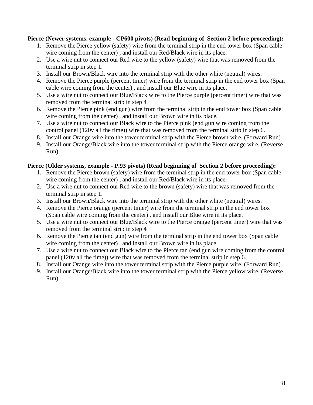#### **Pierce (Newer systems, example - CP600 pivots) (Read beginning of Section 2 before proceeding):**

- 1. Remove the Pierce yellow (safety) wire from the terminal strip in the end tower box (Span cable wire coming from the center) , and install our Red/Black wire in its place.
- 2. Use a wire nut to connect our Red wire to the yellow (safety) wire that was removed from the terminal strip in step 1.
- 3. Install our Brown/Black wire into the terminal strip with the other white (neutral) wires.
- 4. Remove the Pierce purple (percent timer) wire from the terminal strip in the end tower box (Span cable wire coming from the center) , and install our Blue wire in its place.
- 5. Use a wire nut to connect our Blue/Black wire to the Pierce purple (percent timer) wire that was removed from the terminal strip in step 4
- 6. Remove the Pierce pink (end gun) wire from the terminal strip in the end tower box (Span cable wire coming from the center) , and install our Brown wire in its place.
- 7. Use a wire nut to connect our Black wire to the Pierce pink (end gun wire coming from the control panel (120v all the time)) wire that was removed from the terminal strip in step 6.
- 8. Install our Orange wire into the tower terminal strip with the Pierce brown wire. (Forward Run)
- 9. Install our Orange/Black wire into the tower terminal strip with the Pierce orange wire. (Reverse Run)

#### **Pierce (Older systems, example - P.93 pivots) (Read beginning of Section 2 before proceeding):**

- 1. Remove the Pierce brown (safety) wire from the terminal strip in the end tower box (Span cable wire coming from the center) , and install our Red/Black wire in its place.
- 2. Use a wire nut to connect our Red wire to the brown (safety) wire that was removed from the terminal strip in step 1.
- 3. Install our Brown/Black wire into the terminal strip with the other white (neutral) wires.
- 4. Remove the Pierce orange (percent timer) wire from the terminal strip in the end tower box (Span cable wire coming from the center) , and install our Blue wire in its place.
- 5. Use a wire nut to connect our Blue/Black wire to the Pierce orange (percent timer) wire that was removed from the terminal strip in step 4
- 6. Remove the Pierce tan (end gun) wire from the terminal strip in the end tower box (Span cable wire coming from the center) , and install our Brown wire in its place.
- 7. Use a wire nut to connect our Black wire to the Pierce tan (end gun wire coming from the control panel (120v all the time)) wire that was removed from the terminal strip in step 6.
- 8. Install our Orange wire into the tower terminal strip with the Pierce purple wire. (Forward Run)
- 9. Install our Orange/Black wire into the tower terminal strip with the Pierce yellow wire. (Reverse Run)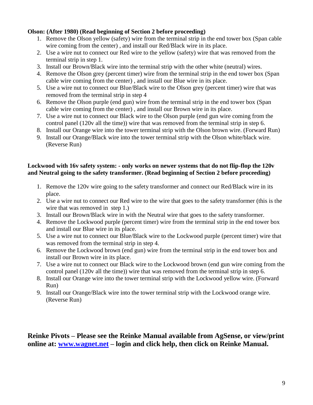#### **Olson: (After 1980) (Read beginning of Section 2 before proceeding)**

- 1. Remove the Olson yellow (safety) wire from the terminal strip in the end tower box (Span cable wire coming from the center) , and install our Red/Black wire in its place.
- 2. Use a wire nut to connect our Red wire to the yellow (safety) wire that was removed from the terminal strip in step 1.
- 3. Install our Brown/Black wire into the terminal strip with the other white (neutral) wires.
- 4. Remove the Olson grey (percent timer) wire from the terminal strip in the end tower box (Span cable wire coming from the center) , and install our Blue wire in its place.
- 5. Use a wire nut to connect our Blue/Black wire to the Olson grey (percent timer) wire that was removed from the terminal strip in step 4
- 6. Remove the Olson purple (end gun) wire from the terminal strip in the end tower box (Span cable wire coming from the center) , and install our Brown wire in its place.
- 7. Use a wire nut to connect our Black wire to the Olson purple (end gun wire coming from the control panel (120v all the time)) wire that was removed from the terminal strip in step 6.
- 8. Install our Orange wire into the tower terminal strip with the Olson brown wire. (Forward Run)
- 9. Install our Orange/Black wire into the tower terminal strip with the Olson white/black wire. (Reverse Run)

#### **Lockwood with 16v safety system: - only works on newer systems that do not flip-flop the 120v and Neutral going to the safety transformer. (Read beginning of Section 2 before proceeding)**

- 1. Remove the 120v wire going to the safety transformer and connect our Red/Black wire in its place.
- 2. Use a wire nut to connect our Red wire to the wire that goes to the safety transformer (this is the wire that was removed in step 1.)
- 3. Install our Brown/Black wire in with the Neutral wire that goes to the safety transformer.
- 4. Remove the Lockwood purple (percent timer) wire from the terminal strip in the end tower box and install our Blue wire in its place.
- 5. Use a wire nut to connect our Blue/Black wire to the Lockwood purple (percent timer) wire that was removed from the terminal strip in step 4.
- 6. Remove the Lockwood brown (end gun) wire from the terminal strip in the end tower box and install our Brown wire in its place.
- 7. Use a wire nut to connect our Black wire to the Lockwood brown (end gun wire coming from the control panel (120v all the time)) wire that was removed from the terminal strip in step 6.
- 8. Install our Orange wire into the tower terminal strip with the Lockwood yellow wire. (Forward Run)
- 9. Install our Orange/Black wire into the tower terminal strip with the Lockwood orange wire. (Reverse Run)

### **Reinke Pivots – Please see the Reinke Manual available from AgSense, or view/print online at: [www.wagnet.net](http://prod.wagnet.net/) – login and click help, then click on Reinke Manual.**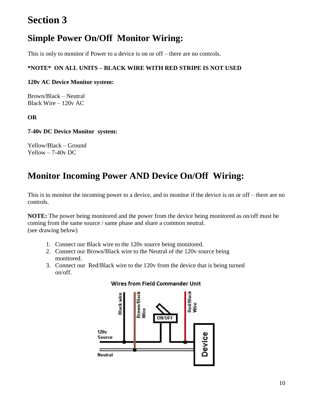# **Section 3**

# **Simple Power On/Off Monitor Wiring:**

This is only to monitor if Power to a device is on or off – there are no controls.

#### **\*NOTE\* ON ALL UNITS – BLACK WIRE WITH RED STRIPE IS NOT USED**

#### **120v AC Device Monitor system:**

Brown/Black – Neutral Black Wire – 120v AC

#### **OR**

#### **7-40v DC Device Monitor system:**

Yellow/Black – Ground Yellow – 7-40v DC

# **Monitor Incoming Power AND Device On/Off Wiring:**

This is to monitor the incoming power to a device, and to monitor if the device is on or off – there are no controls.

**NOTE:** The power being monitored and the power from the device being monitored as on/off must be coming from the same source / same phase and share a common neutral. (see drawing below)

- 1. Connect our Black wire to the 120v source being monitored.
- 2. Connect our Brown/Black wire to the Neutral of the 120v source being monitored.
- 3. Connect our Red/Black wire to the 120v from the device that is being turned on/off.



#### **Wires from Field Commander Unit**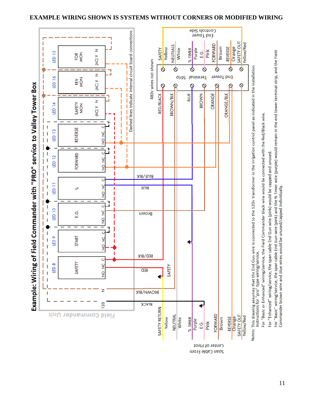#### **EXAMPLE WIRING SHOWN IS SYSTEMS WITHOUT CORNERS OR MODIFIED WIRING**



11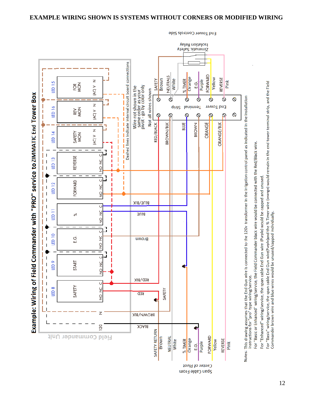

End Tower Controls Side

Notes: This drawing assumes that the End Gun wire is connected to the 120v transformer in the irrigation control panel as indicated in the installation<br>instructions for "pro" type wiring/service.

For "Basic or Enhanced" wiring/service, the Field Commander black wire would be connected with the Red/Black wire.

For "Enhanced" wiring/service, the span cable End Gun wire (Purple) would be capped and unused.

For "Basic" wiring/service, the span cable End Gun wire(Purple)and the % Timer wire (orange) would remain in the end tower terminal strip, and the Field Commander brown wire and blue wires would be unused/capped individually.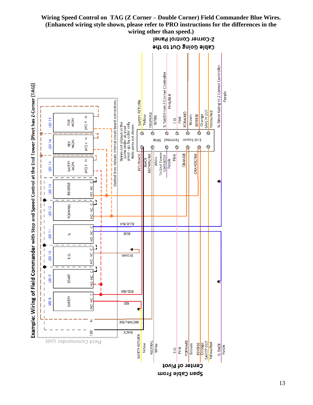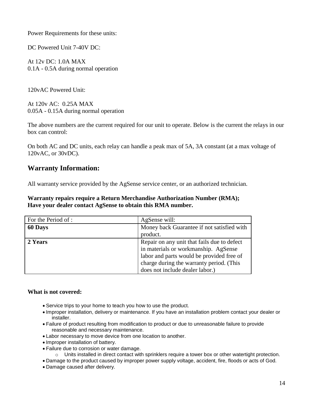Power Requirements for these units:

DC Powered Unit 7-40V DC:

At 12v DC: 1.0A MAX 0.1A - 0.5A during normal operation

120vAC Powered Unit:

At 120v AC: 0.25A MAX 0.05A - 0.15A during normal operation

The above numbers are the current required for our unit to operate. Below is the current the relays in our box can control:

On both AC and DC units, each relay can handle a peak max of 5A, 3A constant (at a max voltage of 120vAC, or 30vDC).

### **Warranty Information:**

All warranty service provided by the AgSense service center, or an authorized technician.

**Warranty repairs require a Return Merchandise Authorization Number (RMA); Have your dealer contact AgSense to obtain this RMA number.**

| For the Period of : | AgSense will:                               |
|---------------------|---------------------------------------------|
| 60 Days             | Money back Guarantee if not satisfied with  |
|                     | product.                                    |
| 2 Years             | Repair on any unit that fails due to defect |
|                     | in materials or workmanship. AgSense        |
|                     | labor and parts would be provided free of   |
|                     | charge during the warranty period. (This    |
|                     | does not include dealer labor.)             |

#### **What is not covered:**

- Service trips to your home to teach you how to use the product.
- Improper installation, delivery or maintenance. If you have an installation problem contact your dealer or installer.
- Failure of product resulting from modification to product or due to unreasonable failure to provide reasonable and necessary maintenance.
- Labor necessary to move device from one location to another.
- Improper installation of battery.
- Failure due to corrosion or water damage.
	- o Units installed in direct contact with sprinklers require a tower box or other watertight protection.
- Damage to the product caused by improper power supply voltage, accident, fire, floods or acts of God.
- Damage caused after delivery.